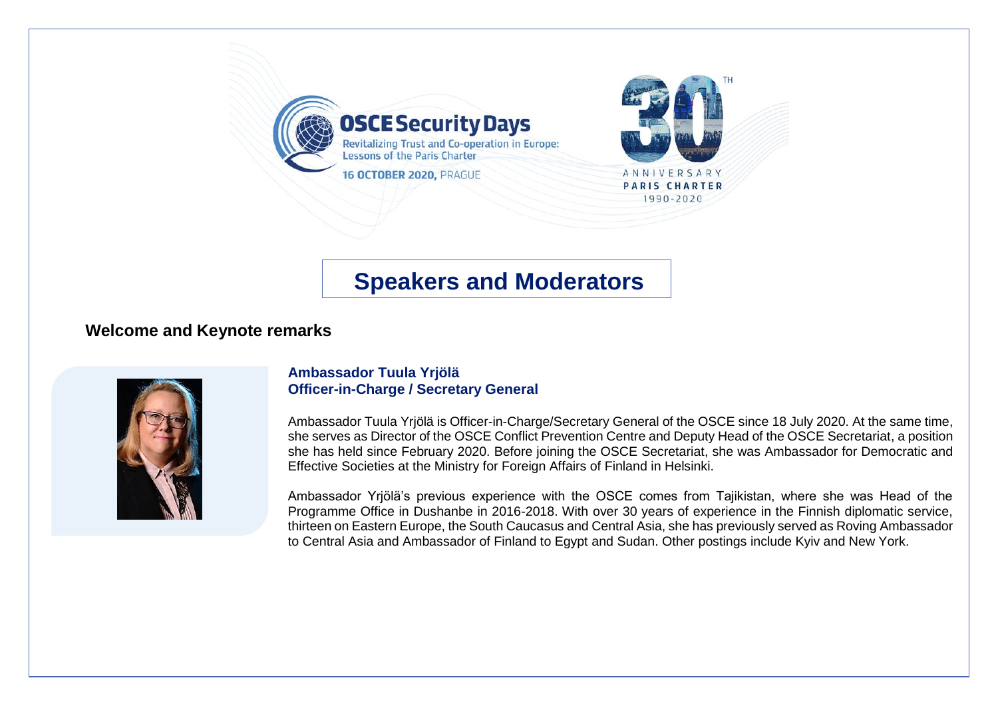

# **Speakers and Moderators**

## **Welcome and Keynote remarks**



### **Ambassador Tuula Yrjölä Officer-in-Charge / Secretary General**

Ambassador Tuula Yrjölä is Officer-in-Charge/Secretary General of the OSCE since 18 July 2020. At the same time, she serves as Director of the OSCE Conflict Prevention Centre and Deputy Head of the OSCE Secretariat, a position she has held since February 2020. Before joining the OSCE Secretariat, she was Ambassador for Democratic and Effective Societies at the Ministry for Foreign Affairs of Finland in Helsinki.

Ambassador Yrjölä's previous experience with the OSCE comes from Tajikistan, where she was Head of the Programme Office in Dushanbe in 2016-2018. With over 30 years of experience in the Finnish diplomatic service, thirteen on Eastern Europe, the South Caucasus and Central Asia, she has previously served as Roving Ambassador to Central Asia and Ambassador of Finland to Egypt and Sudan. Other postings include Kyiv and New York.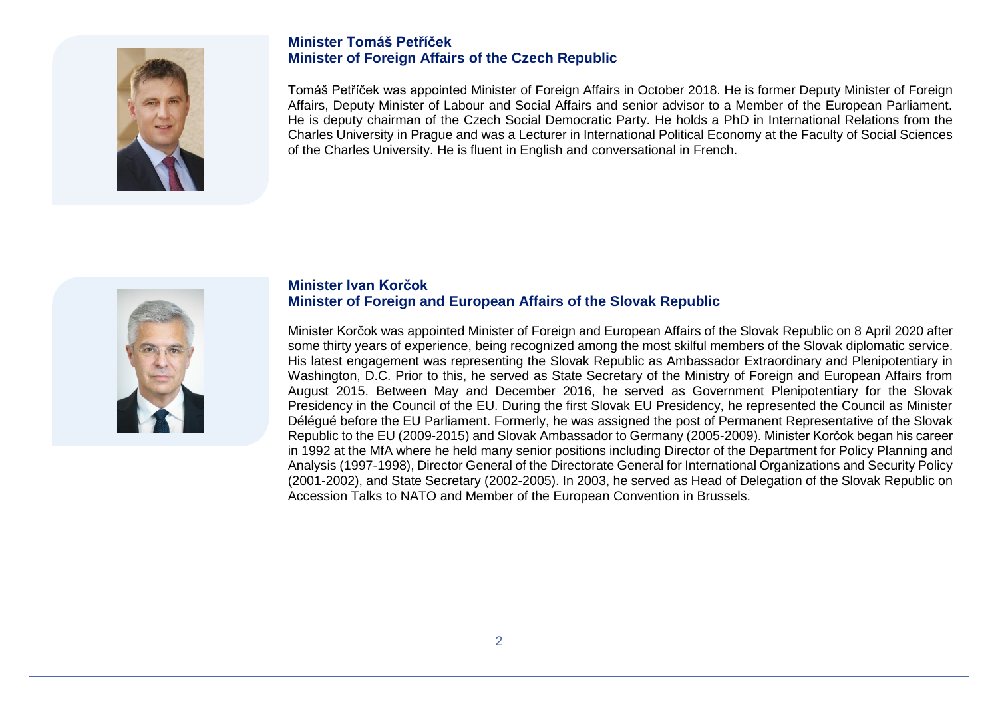

### **Minister Tomáš Petříček Minister of Foreign Affairs of the Czech Republic**

Tomáš Petříček was appointed Minister of Foreign Affairs in October 2018. He is former Deputy Minister of Foreign Affairs, Deputy Minister of Labour and Social Affairs and senior advisor to a Member of the European Parliament. He is deputy chairman of the Czech Social Democratic Party. He holds a PhD in International Relations from the Charles University in Prague and was a Lecturer in International Political Economy at the Faculty of Social Sciences of the Charles University. He is fluent in English and conversational in French.



### **Minister Ivan Korčok Minister of Foreign and European Affairs of the Slovak Republic**

Minister Korčok was appointed Minister of Foreign and European Affairs of the Slovak Republic on 8 April 2020 after some thirty years of experience, being recognized among the most skilful members of the Slovak diplomatic service. His latest engagement was representing the Slovak Republic as Ambassador Extraordinary and Plenipotentiary in Washington, D.C. Prior to this, he served as State Secretary of the Ministry of Foreign and European Affairs from August 2015. Between May and December 2016, he served as Government Plenipotentiary for the Slovak Presidency in the Council of the EU. During the first Slovak EU Presidency, he represented the Council as Minister Délégué before the EU Parliament. Formerly, he was assigned the post of Permanent Representative of the Slovak Republic to the EU (2009-2015) and Slovak Ambassador to Germany (2005-2009). Minister Korčok began his career in 1992 at the MfA where he held many senior positions including Director of the Department for Policy Planning and Analysis (1997-1998), Director General of the Directorate General for International Organizations and Security Policy (2001-2002), and State Secretary (2002-2005). In 2003, he served as Head of Delegation of the Slovak Republic on Accession Talks to NATO and Member of the European Convention in Brussels.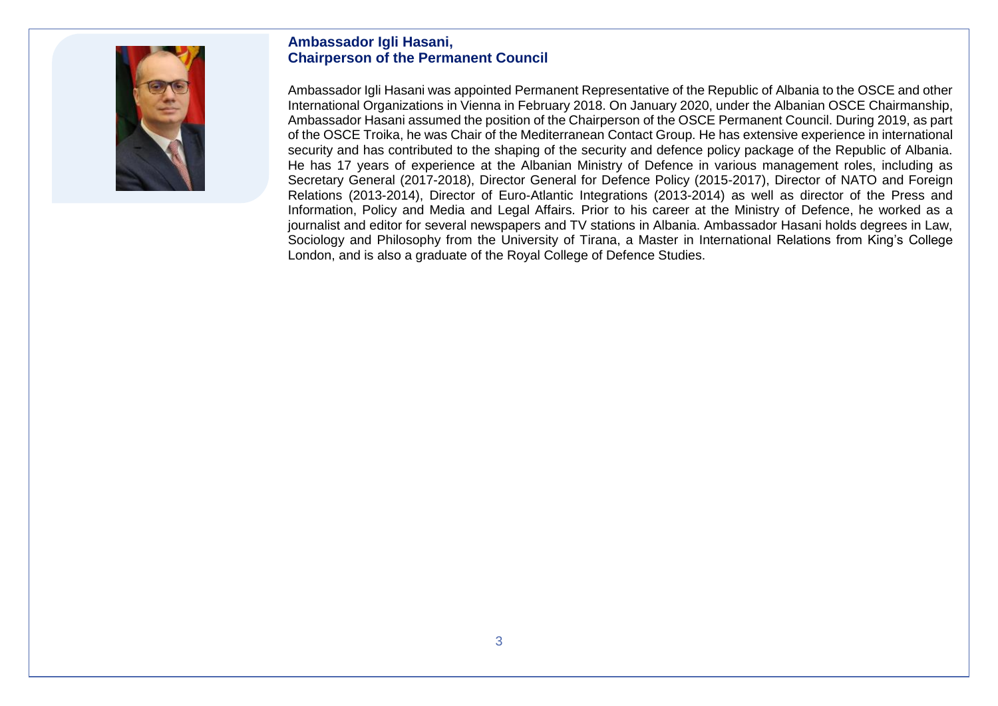

### **Ambassador Igli Hasani, Chairperson of the Permanent Council**

Ambassador Igli Hasani was appointed Permanent Representative of the Republic of Albania to the OSCE and other International Organizations in Vienna in February 2018. On January 2020, under the Albanian OSCE Chairmanship, Ambassador Hasani assumed the position of the Chairperson of the OSCE Permanent Council. During 2019, as part of the OSCE Troika, he was Chair of the Mediterranean Contact Group. He has extensive experience in international security and has contributed to the shaping of the security and defence policy package of the Republic of Albania. He has 17 years of experience at the Albanian Ministry of Defence in various management roles, including as Secretary General (2017-2018), Director General for Defence Policy (2015-2017), Director of NATO and Foreign Relations (2013-2014), Director of Euro-Atlantic Integrations (2013-2014) as well as director of the Press and Information, Policy and Media and Legal Affairs. Prior to his career at the Ministry of Defence, he worked as a journalist and editor for several newspapers and TV stations in Albania. Ambassador Hasani holds degrees in Law, Sociology and Philosophy from the University of Tirana, a Master in International Relations from King's College London, and is also a graduate of the Royal College of Defence Studies.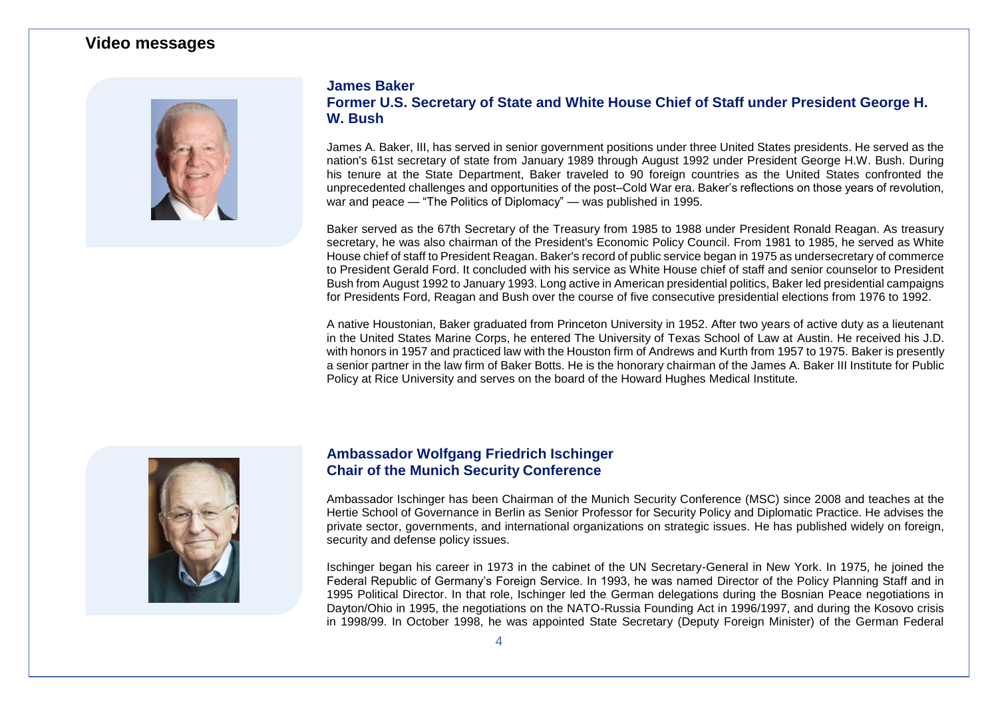### **Video messages**



### **James Baker Former U.S. Secretary of State and White House Chief of Staff under President George H. W. Bush**

James A. Baker, III, has served in senior government positions under three United States presidents. He served as the nation's 61st secretary of state from January 1989 through August 1992 under President George H.W. Bush. During his tenure at the State Department, Baker traveled to 90 foreign countries as the United States confronted the unprecedented challenges and opportunities of the post–Cold War era. Baker's reflections on those years of revolution, war and peace — "The Politics of Diplomacy" — was published in 1995.

Baker served as the 67th Secretary of the Treasury from 1985 to 1988 under President Ronald Reagan. As treasury secretary, he was also chairman of the President's Economic Policy Council. From 1981 to 1985, he served as White House chief of staff to President Reagan. Baker's record of public service began in 1975 as undersecretary of commerce to President Gerald Ford. It concluded with his service as White House chief of staff and senior counselor to President Bush from August 1992 to January 1993. Long active in American presidential politics, Baker led presidential campaigns for Presidents Ford, Reagan and Bush over the course of five consecutive presidential elections from 1976 to 1992.

A native Houstonian, Baker graduated from Princeton University in 1952. After two years of active duty as a lieutenant in the United States Marine Corps, he entered The University of Texas School of Law at Austin. He received his J.D. with honors in 1957 and practiced law with the Houston firm of Andrews and Kurth from 1957 to 1975. Baker is presently a senior partner in the law firm of Baker Botts. He is the honorary chairman of the James A. Baker III Institute for Public Policy at Rice University and serves on the board of the Howard Hughes Medical Institute.



### **Ambassador Wolfgang Friedrich Ischinger Chair of the Munich Security Conference**

Ambassador Ischinger has been Chairman of the Munich Security Conference (MSC) since 2008 and teaches at the Hertie School of Governance in Berlin as Senior Professor for Security Policy and Diplomatic Practice. He advises the private sector, governments, and international organizations on strategic issues. He has published widely on foreign, security and defense policy issues.

Ischinger began his career in 1973 in the cabinet of the UN Secretary-General in New York. In 1975, he joined the Federal Republic of Germany's Foreign Service. In 1993, he was named Director of the Policy Planning Staff and in 1995 Political Director. In that role, Ischinger led the German delegations during the Bosnian Peace negotiations in Dayton/Ohio in 1995, the negotiations on the NATO-Russia Founding Act in 1996/1997, and during the Kosovo crisis in 1998/99. In October 1998, he was appointed State Secretary (Deputy Foreign Minister) of the German Federal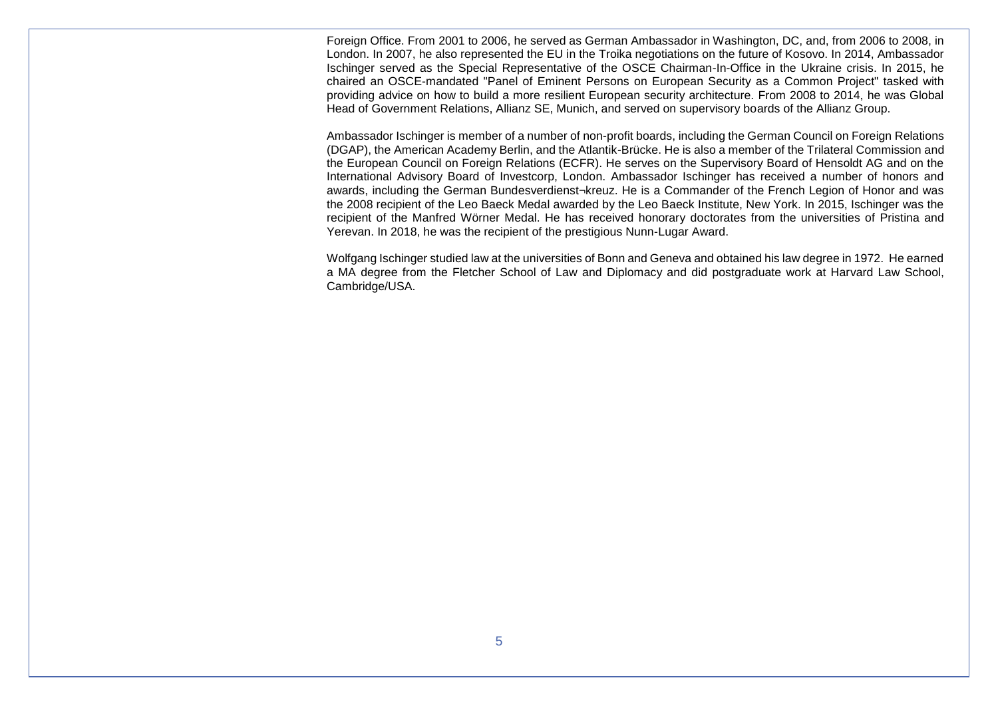Foreign Office. From 2001 to 2006, he served as German Ambassador in Washington, DC, and, from 2006 to 2008, in London. In 2007, he also represented the EU in the Troika negotiations on the future of Kosovo. In 2014, Ambassador Ischinger served as the Special Representative of the OSCE Chairman-In-Office in the Ukraine crisis. In 2015, he chaired an OSCE-mandated "Panel of Eminent Persons on European Security as a Common Project" tasked with providing advice on how to build a more resilient European security architecture. From 2008 to 2014, he was Global Head of Government Relations, Allianz SE, Munich, and served on supervisory boards of the Allianz Group.

Ambassador Ischinger is member of a number of non-profit boards, including the German Council on Foreign Relations (DGAP), the American Academy Berlin, and the Atlantik-Brücke. He is also a member of the Trilateral Commission and the European Council on Foreign Relations (ECFR). He serves on the Supervisory Board of Hensoldt AG and on the International Advisory Board of Investcorp, London. Ambassador Ischinger has received a number of honors and awards, including the German Bundesverdienst¬kreuz. He is a Commander of the French Legion of Honor and was the 2008 recipient of the Leo Baeck Medal awarded by the Leo Baeck Institute, New York. In 2015, Ischinger was the recipient of the Manfred Wörner Medal. He has received honorary doctorates from the universities of Pristina and Yerevan. In 2018, he was the recipient of the prestigious Nunn-Lugar Award.

Wolfgang Ischinger studied law at the universities of Bonn and Geneva and obtained his law degree in 1972. He earned a MA degree from the Fletcher School of Law and Diplomacy and did postgraduate work at Harvard Law School, Cambridge/USA.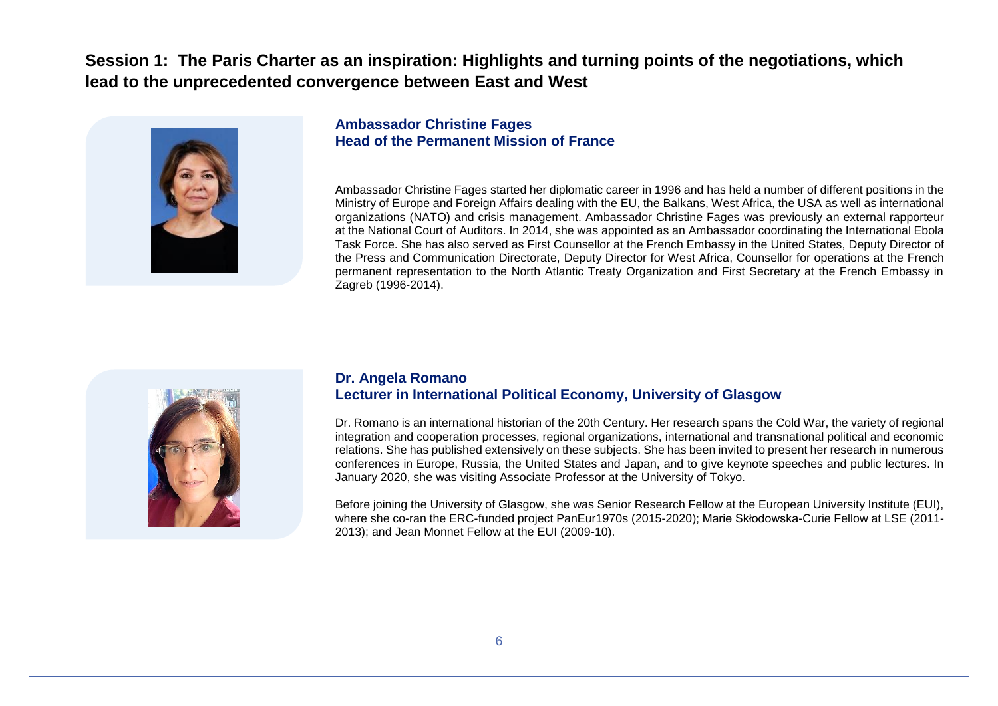# **Session 1: The Paris Charter as an inspiration: Highlights and turning points of the negotiations, which lead to the unprecedented convergence between East and West**



### **Ambassador Christine Fages Head of the Permanent Mission of France**

Ambassador Christine Fages started her diplomatic career in 1996 and has held a number of different positions in the Ministry of Europe and Foreign Affairs dealing with the EU, the Balkans, West Africa, the USA as well as international organizations (NATO) and crisis management. Ambassador Christine Fages was previously an external rapporteur at the National Court of Auditors. In 2014, she was appointed as an Ambassador coordinating the International Ebola Task Force. She has also served as First Counsellor at the French Embassy in the United States, Deputy Director of the Press and Communication Directorate, Deputy Director for West Africa, Counsellor for operations at the French permanent representation to the North Atlantic Treaty Organization and First Secretary at the French Embassy in Zagreb (1996-2014).



#### **Dr. Angela Romano Lecturer in International Political Economy, University of Glasgow**

Dr. Romano is an international historian of the 20th Century. Her research spans the Cold War, the variety of regional integration and cooperation processes, regional organizations, international and transnational political and economic relations. She has published extensively on these subjects. She has been invited to present her research in numerous conferences in Europe, Russia, the United States and Japan, and to give keynote speeches and public lectures. In January 2020, she was visiting Associate Professor at the University of Tokyo.

Before joining the University of Glasgow, she was Senior Research Fellow at the European University Institute (EUI), where she co-ran the ERC-funded project [PanEur1970s](https://paneur1970s.eui.eu/) (2015-2020); Marie Skłodowska-Curie Fellow at LSE (2011-2013); and Jean Monnet Fellow at the EUI (2009-10).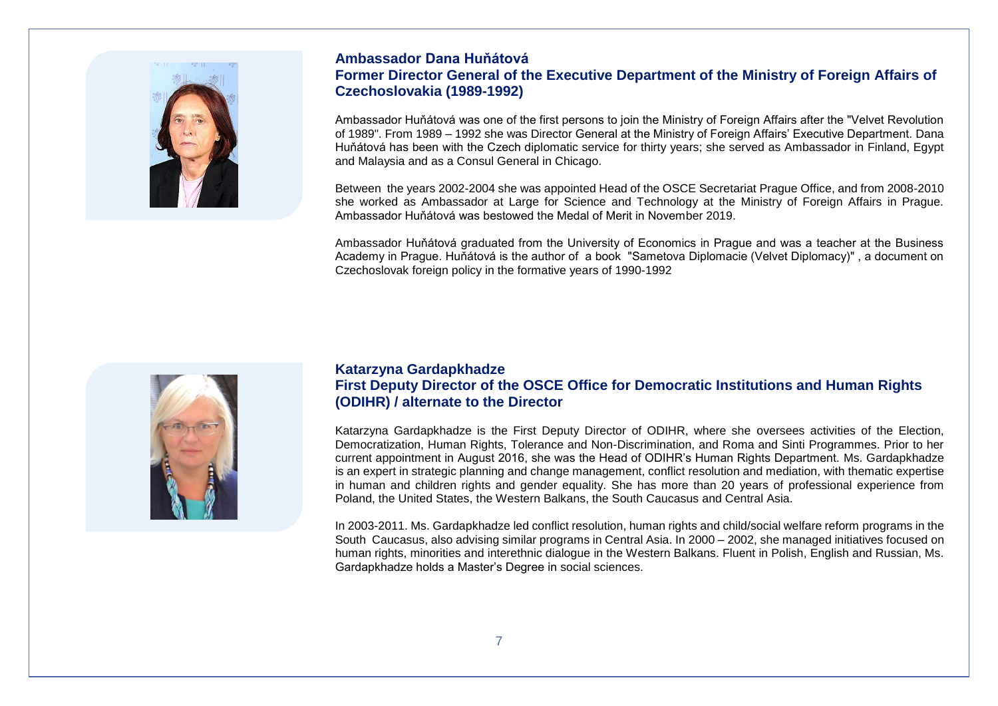

### **Ambassador Dana Huňátová Former Director General of the Executive Department of the Ministry of Foreign Affairs of Czechoslovakia (1989-1992)**

Ambassador Huňátová was one of the first persons to join the Ministry of Foreign Affairs after the "Velvet Revolution of 1989". From 1989 – 1992 she was Director General at the Ministry of Foreign Affairs' Executive Department. Dana Huňátová has been with the Czech diplomatic service for thirty years; she served as Ambassador in Finland, Egypt and Malaysia and as a Consul General in Chicago.

Between the years 2002-2004 she was appointed Head of the OSCE Secretariat Prague Office, and from 2008-2010 she worked as Ambassador at Large for Science and Technology at the Ministry of Foreign Affairs in Prague. Ambassador Huňátová was bestowed the Medal of Merit in November 2019.

Ambassador Huňátová graduated from the University of Economics in Prague and was a teacher at the Business Academy in Prague. Huňátová is the author of a book "Sametova Diplomacie (Velvet Diplomacy)" , a document on Czechoslovak foreign policy in the formative years of 1990-1992



### **Katarzyna Gardapkhadze First Deputy Director of the OSCE Office for Democratic Institutions and Human Rights (ODIHR) / alternate to the Director**

Katarzyna Gardapkhadze is the First Deputy Director of ODIHR, where she oversees activities of the Election, Democratization, Human Rights, Tolerance and Non-Discrimination, and Roma and Sinti Programmes. Prior to her current appointment in August 2016, she was the Head of ODIHR's Human Rights Department. Ms. Gardapkhadze is an expert in strategic planning and change management, conflict resolution and mediation, with thematic expertise in human and children rights and gender equality. She has more than 20 years of professional experience from Poland, the United States, the Western Balkans, the South Caucasus and Central Asia.

In 2003-2011. Ms. Gardapkhadze led conflict resolution, human rights and child/social welfare reform programs in the South Caucasus, also advising similar programs in Central Asia. In 2000 – 2002, she managed initiatives focused on human rights, minorities and interethnic dialogue in the Western Balkans. Fluent in Polish, English and Russian, Ms. Gardapkhadze holds a Master's Degree in social sciences.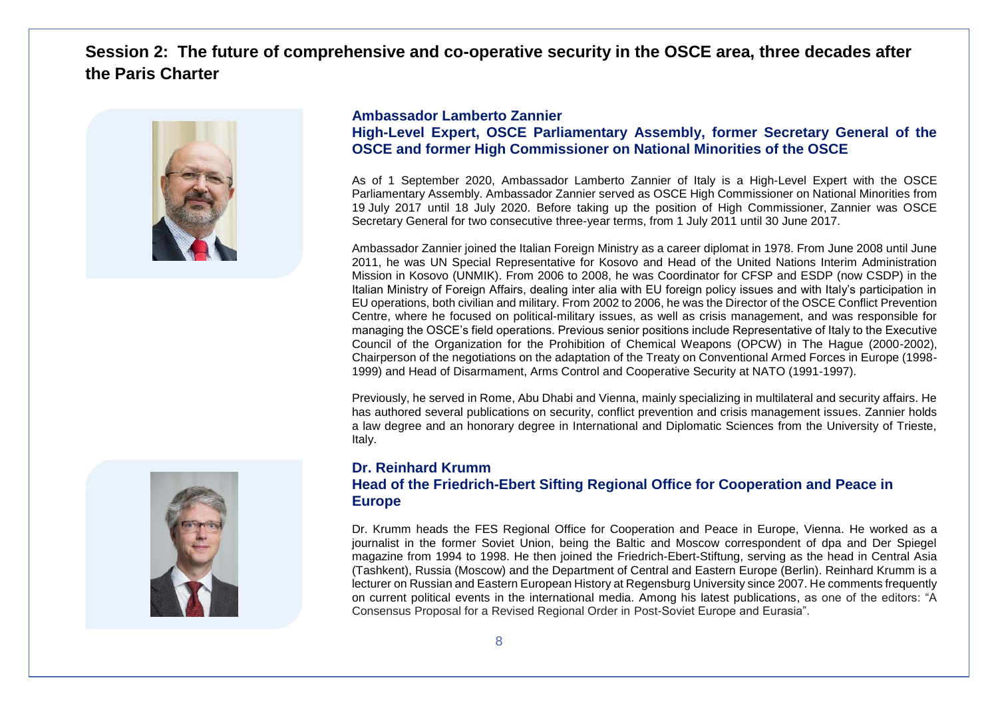# **Session 2: The future of comprehensive and co-operative security in the OSCE area, three decades after the Paris Charter**



### **Ambassador Lamberto Zannier High-Level Expert, OSCE Parliamentary Assembly, former Secretary General of the OSCE and former High Commissioner on National Minorities of the OSCE**

As of 1 September 2020, Ambassador Lamberto Zannier of Italy is a High-Level Expert with the OSCE Parliamentary Assembly. Ambassador Zannier served as OSCE High Commissioner on National Minorities from 19 July 2017 until 18 July 2020. Before taking up the position of High Commissioner, Zannier was OSCE Secretary General for two consecutive three-year terms, from 1 July 2011 until 30 June 2017.

Ambassador Zannier joined the Italian Foreign Ministry as a career diplomat in 1978. From June 2008 until June 2011, he was UN Special Representative for Kosovo and Head of the United Nations Interim Administration Mission in Kosovo (UNMIK). From 2006 to 2008, he was Coordinator for CFSP and ESDP (now CSDP) in the Italian Ministry of Foreign Affairs, dealing inter alia with EU foreign policy issues and with Italy's participation in EU operations, both civilian and military. From 2002 to 2006, he was the Director of the OSCE Conflict Prevention Centre, where he focused on political-military issues, as well as crisis management, and was responsible for managing the OSCE's field operations. Previous senior positions include Representative of Italy to the Executive Council of the Organization for the Prohibition of Chemical Weapons (OPCW) in The Hague (2000-2002), Chairperson of the negotiations on the adaptation of the Treaty on Conventional Armed Forces in Europe (1998- 1999) and Head of Disarmament, Arms Control and Cooperative Security at NATO (1991-1997).

Previously, he served in Rome, Abu Dhabi and Vienna, mainly specializing in multilateral and security affairs. He has authored several publications on security, conflict prevention and crisis management issues. Zannier holds a law degree and an honorary degree in International and Diplomatic Sciences from the University of Trieste, Italy.

### **Dr. Reinhard Krumm Head of the Friedrich-Ebert Sifting Regional Office for Cooperation and Peace in Europe**

Dr. Krumm heads the FES Regional Office for Cooperation and Peace in Europe, Vienna. He worked as a journalist in the former Soviet Union, being the Baltic and Moscow correspondent of dpa and Der Spiegel magazine from 1994 to 1998. He then joined the Friedrich-Ebert-Stiftung, serving as the head in Central Asia (Tashkent), Russia (Moscow) and the Department of Central and Eastern Europe (Berlin). Reinhard Krumm is a lecturer on Russian and Eastern European History at Regensburg University since 2007. He comments frequently on current political events in the international media. Among his latest publications, as one of the editors: "A Consensus Proposal for a Revised Regional Order in Post-Soviet Europe and Eurasia".

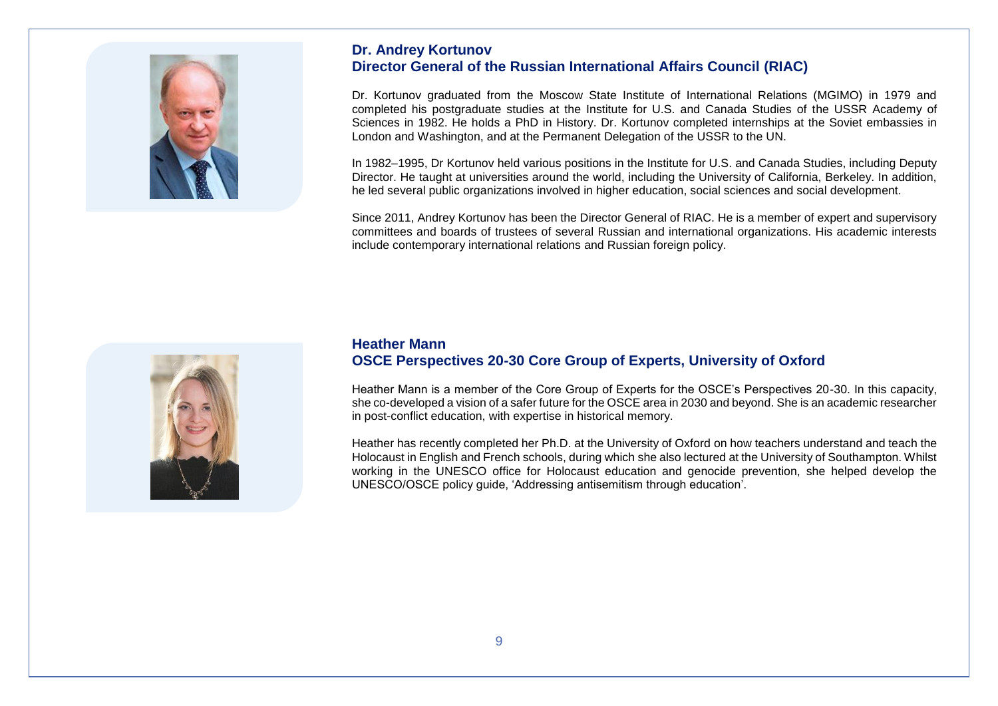

### **Dr. Andrey Kortunov Director General of the Russian International Affairs Council (RIAC)**

Dr. Kortunov graduated from the Moscow State Institute of International Relations (MGIMO) in 1979 and completed his postgraduate studies at the Institute for U.S. and Canada Studies of the USSR Academy of Sciences in 1982. He holds a PhD in History. Dr. Kortunov completed internships at the Soviet embassies in London and Washington, and at the Permanent Delegation of the USSR to the UN.

In 1982–1995, Dr Kortunov held various positions in the Institute for U.S. and Canada Studies, including Deputy Director. He taught at universities around the world, including the University of California, Berkeley. In addition, he led several public organizations involved in higher education, social sciences and social development.

Since 2011, Andrey Kortunov has been the Director General of RIAC. He is a member of expert and supervisory committees and boards of trustees of several Russian and international organizations. His academic interests include contemporary international relations and Russian foreign policy.



### **Heather Mann OSCE Perspectives 20-30 Core Group of Experts, University of Oxford**

Heather Mann is a member of the Core Group of Experts for the OSCE's Perspectives 20-30. In this capacity, she co-developed a vision of a safer future for the OSCE area in 2030 and beyond. She is an academic researcher in post-conflict education, with expertise in historical memory.

Heather has recently completed her Ph.D. at the University of Oxford on how teachers understand and teach the Holocaust in English and French schools, during which she also lectured at the University of Southampton. Whilst working in the UNESCO office for Holocaust education and genocide prevention, she helped develop the UNESCO/OSCE policy guide, 'Addressing antisemitism through education'.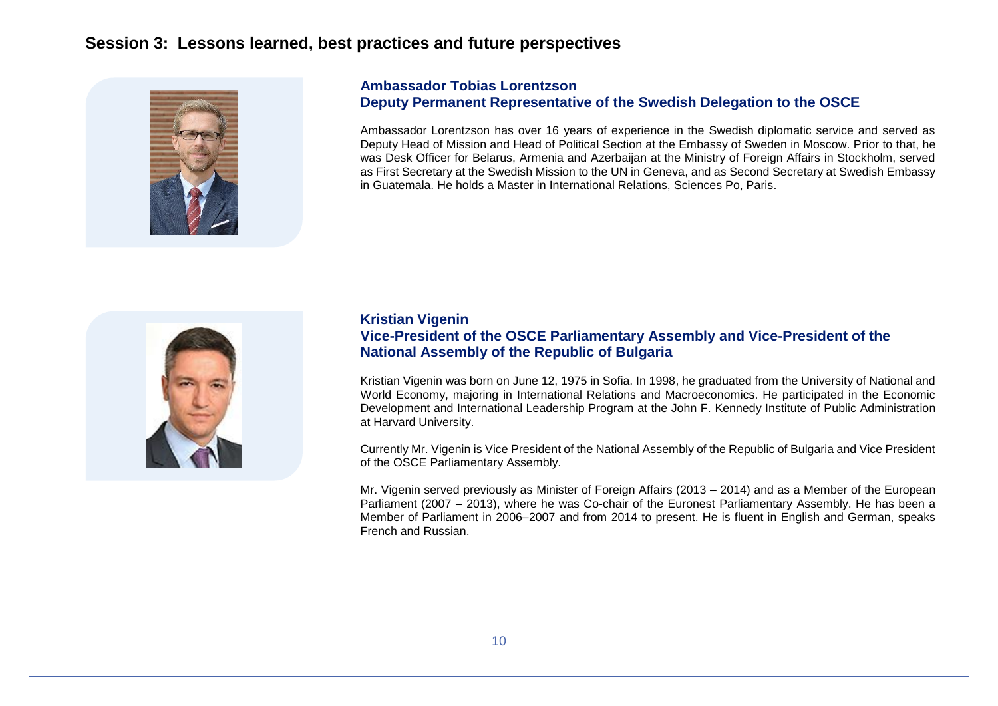### **Session 3: Lessons learned, best practices and future perspectives**



### **Ambassador Tobias Lorentzson Deputy Permanent Representative of the Swedish Delegation to the OSCE**

Ambassador Lorentzson has over 16 years of experience in the Swedish diplomatic service and served as Deputy Head of Mission and Head of Political Section at the Embassy of Sweden in Moscow. Prior to that, he was Desk Officer for Belarus, Armenia and Azerbaijan at the Ministry of Foreign Affairs in Stockholm, served as First Secretary at the Swedish Mission to the UN in Geneva, and as Second Secretary at Swedish Embassy in Guatemala. He holds a Master in International Relations, Sciences Po, Paris.



### **Kristian Vigenin Vice-President of the OSCE Parliamentary Assembly and Vice-President of the National Assembly of the Republic of Bulgaria**

Kristian Vigenin was born on June 12, 1975 in Sofia. In 1998, he graduated from the University of National and World Economy, majoring in International Relations and Macroeconomics. He participated in the Economic Development and International Leadership Program at the John F. Kennedy Institute of Public Administration at Harvard University.

Currently Mr. Vigenin is Vice President of the National Assembly of the Republic of Bulgaria and Vice President of the OSCE Parliamentary Assembly.

Mr. Vigenin served previously as Minister of Foreign Affairs (2013 – 2014) and as a Member of the European Parliament (2007 – 2013), where he was Co-chair of the Euronest Parliamentary Assembly. He has been a Member of Parliament in 2006–2007 and from 2014 to present. He is fluent in English and German, speaks French and Russian.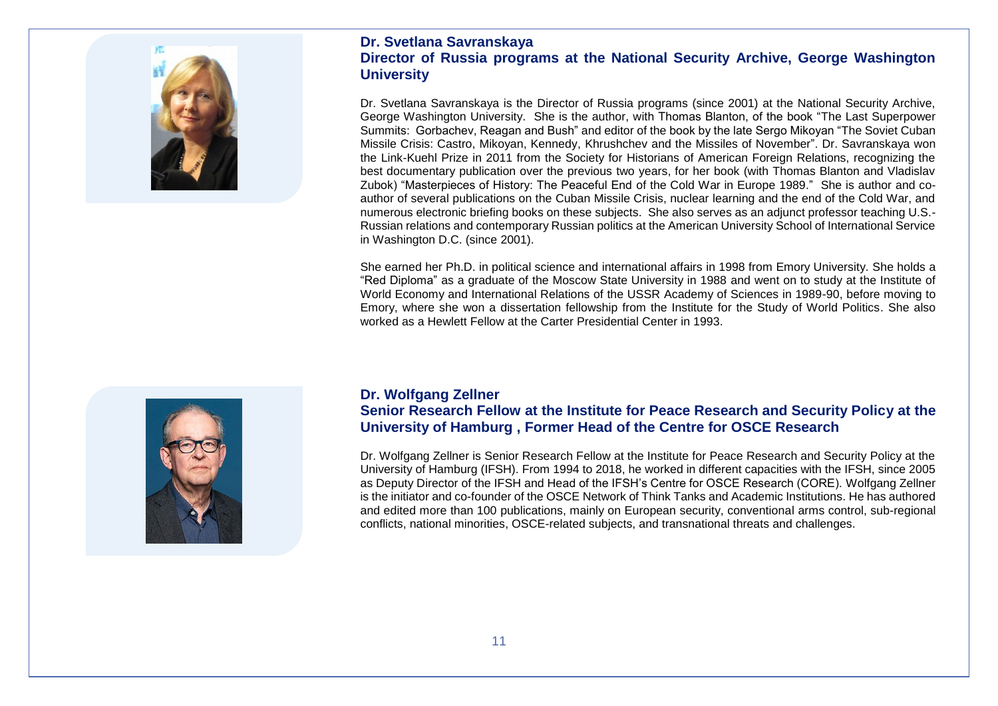

### **Dr. Svetlana Savranskaya Director of Russia programs at the National Security Archive, George Washington University**

Dr. Svetlana Savranskaya is the Director of Russia programs (since 2001) at the National Security Archive, George Washington University. She is the author, with Thomas Blanton, of the book "The Last Superpower Summits: Gorbachev, Reagan and Bush" and editor of the book by the late Sergo Mikoyan "The Soviet Cuban Missile Crisis: Castro, Mikoyan, Kennedy, Khrushchev and the Missiles of November". Dr. Savranskaya won the Link-Kuehl Prize in 2011 from the Society for Historians of American Foreign Relations, recognizing the best documentary publication over the previous two years, for her book (with Thomas Blanton and Vladislav Zubok) "Masterpieces of History: The Peaceful End of the Cold War in Europe 1989." She is author and coauthor of several publications on the Cuban Missile Crisis, nuclear learning and the end of the Cold War, and numerous electronic briefing books on these subjects. She also serves as an adjunct professor teaching U.S.- Russian relations and contemporary Russian politics at the American University School of International Service in Washington D.C. (since 2001).

She earned her Ph.D. in political science and international affairs in 1998 from Emory University. She holds a "Red Diploma" as a graduate of the Moscow State University in 1988 and went on to study at the Institute of World Economy and International Relations of the USSR Academy of Sciences in 1989-90, before moving to Emory, where she won a dissertation fellowship from the Institute for the Study of World Politics. She also worked as a Hewlett Fellow at the Carter Presidential Center in 1993.



### **Dr. Wolfgang Zellner Senior Research Fellow at the Institute for Peace Research and Security Policy at the University of Hamburg , Former Head of the Centre for OSCE Research**

Dr. Wolfgang Zellner is Senior Research Fellow at the Institute for Peace Research and Security Policy at the University of Hamburg (IFSH). From 1994 to 2018, he worked in different capacities with the IFSH, since 2005 as Deputy Director of the IFSH and Head of the IFSH's Centre for OSCE Research (CORE). Wolfgang Zellner is the initiator and co-founder of the OSCE Network of Think Tanks and Academic Institutions. He has authored and edited more than 100 publications, mainly on European security, conventional arms control, sub-regional conflicts, national minorities, OSCE-related subjects, and transnational threats and challenges.